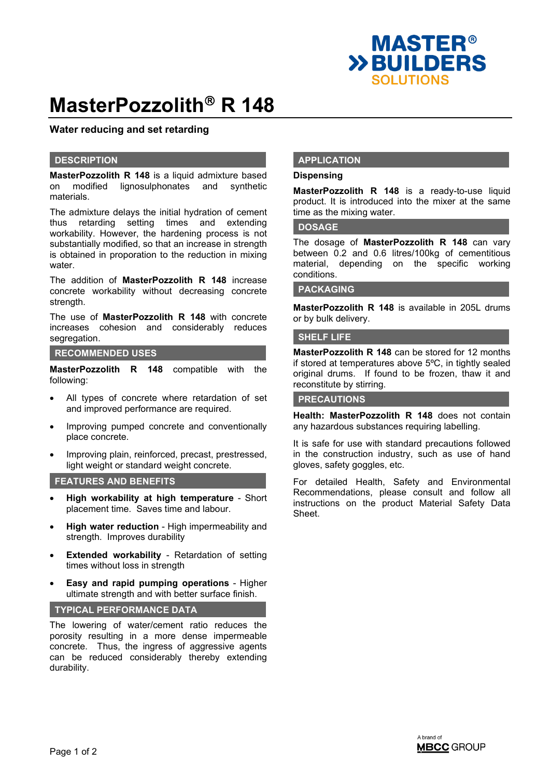

# **MasterPozzolith<sup>®</sup> R 148**

## **Water reducing and set retarding**

#### **DESCRIPTION**

**MasterPozzolith R 148** is a liquid admixture based on modified lignosulphonates and synthetic materials.

The admixture delays the initial hydration of cement thus retarding setting times and extending workability. However, the hardening process is not substantially modified, so that an increase in strength is obtained in proporation to the reduction in mixing water

The addition of **MasterPozzolith R 148** increase concrete workability without decreasing concrete strength.

The use of **MasterPozzolith R 148** with concrete increases cohesion and considerably reduces segregation.

#### **RECOMMENDED USES**

**MasterPozzolith R 148** compatible with the following:

- All types of concrete where retardation of set and improved performance are required.
- Improving pumped concrete and conventionally place concrete.
- Improving plain, reinforced, precast, prestressed, light weight or standard weight concrete.

## **FEATURES AND BENEFITS**

- **High workability at high temperature** Short placement time. Saves time and labour.
- **High water reduction** High impermeability and strength. Improves durability
- **Extended workability** Retardation of setting times without loss in strength
- **Easy and rapid pumping operations** Higher ultimate strength and with better surface finish.

#### **TYPICAL PERFORMANCE DATA**

The lowering of water/cement ratio reduces the porosity resulting in a more dense impermeable concrete. Thus, the ingress of aggressive agents can be reduced considerably thereby extending durability.

## **APPLICATION**

#### **Dispensing**

**MasterPozzolith R 148** is a ready-to-use liquid product. It is introduced into the mixer at the same time as the mixing water.

#### **DOSAGE**

The dosage of **MasterPozzolith R 148** can vary between 0.2 and 0.6 litres/100kg of cementitious material, depending on the specific working conditions.

#### **PACKAGING**

**MasterPozzolith R 148** is available in 205L drums or by bulk delivery.

#### **SHELF LIFE**

**MasterPozzolith R 148** can be stored for 12 months if stored at temperatures above 5ºC, in tightly sealed original drums. If found to be frozen, thaw it and reconstitute by stirring.

#### **PRECAUTIONS**

**Health: MasterPozzolith R 148** does not contain any hazardous substances requiring labelling.

It is safe for use with standard precautions followed in the construction industry, such as use of hand gloves, safety goggles, etc.

For detailed Health, Safety and Environmental Recommendations, please consult and follow all instructions on the product Material Safety Data Sheet.